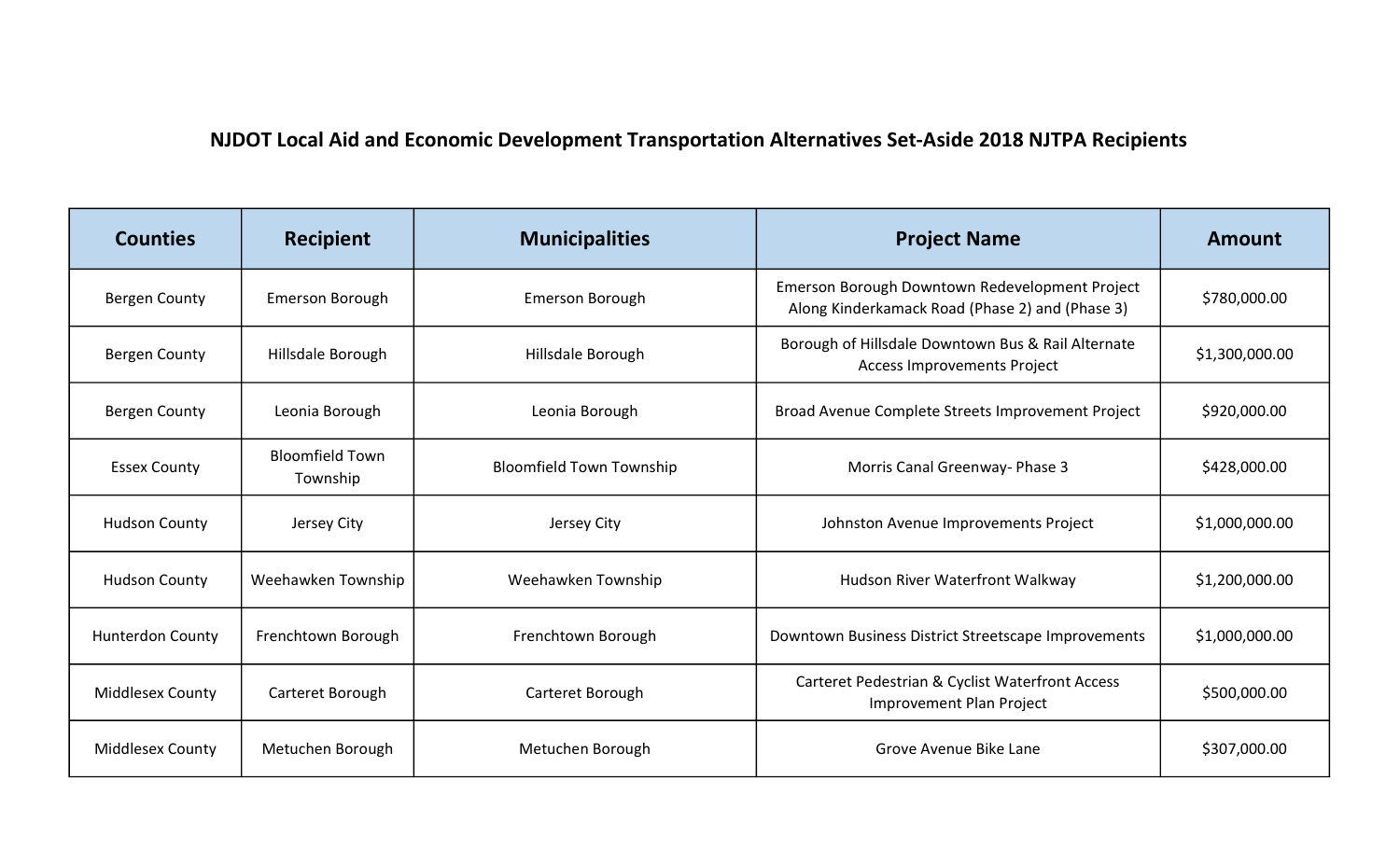## NJDOT Local Aid and Economic Development Transportation Alternatives Set-Aside 2018 NJTPA Recipients

| <b>Counties</b>         | Recipient                          | <b>Municipalities</b>           | <b>Project Name</b>                                                                               | Amount         |
|-------------------------|------------------------------------|---------------------------------|---------------------------------------------------------------------------------------------------|----------------|
| <b>Bergen County</b>    | <b>Emerson Borough</b>             | <b>Emerson Borough</b>          | Emerson Borough Downtown Redevelopment Project<br>Along Kinderkamack Road (Phase 2) and (Phase 3) | \$780,000.00   |
| <b>Bergen County</b>    | Hillsdale Borough                  | Hillsdale Borough               | Borough of Hillsdale Downtown Bus & Rail Alternate<br><b>Access Improvements Project</b>          | \$1,300,000.00 |
| <b>Bergen County</b>    | Leonia Borough                     | Leonia Borough                  | Broad Avenue Complete Streets Improvement Project                                                 | \$920,000.00   |
| <b>Essex County</b>     | <b>Bloomfield Town</b><br>Township | <b>Bloomfield Town Township</b> | Morris Canal Greenway- Phase 3                                                                    | \$428,000.00   |
| <b>Hudson County</b>    | Jersey City                        | Jersey City                     | Johnston Avenue Improvements Project                                                              | \$1,000,000.00 |
| <b>Hudson County</b>    | Weehawken Township                 | Weehawken Township              | Hudson River Waterfront Walkway                                                                   | \$1,200,000.00 |
| <b>Hunterdon County</b> | Frenchtown Borough                 | Frenchtown Borough              | Downtown Business District Streetscape Improvements                                               | \$1,000,000.00 |
| <b>Middlesex County</b> | Carteret Borough                   | Carteret Borough                | Carteret Pedestrian & Cyclist Waterfront Access<br>Improvement Plan Project                       | \$500,000.00   |
| <b>Middlesex County</b> | Metuchen Borough                   | Metuchen Borough                | Grove Avenue Bike Lane                                                                            | \$307,000.00   |